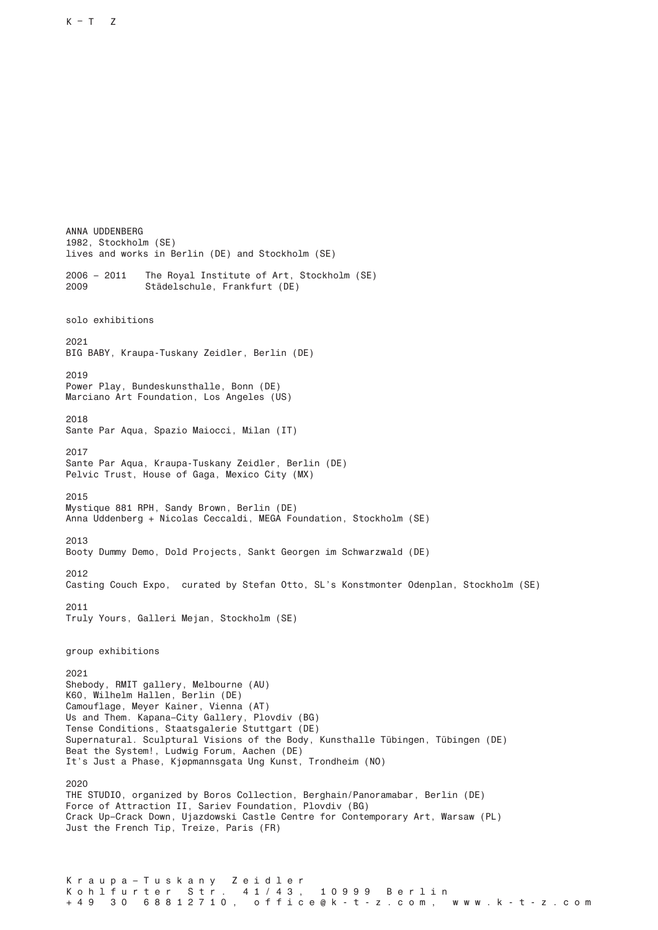K r a u p a – T u s k a n y z e i d l e r<br>K o h l f u r t e r s t r . 4 1 / 4 3 , ANNA UDDENBERG 1982, Stockholm (SE) lives and works in Berlin (DE) and Stockholm (SE) 2006 – 2011 The Royal Institute of Art, Stockholm (SE) 2009 Städelschule, Frankfurt (DE) solo exhibitions 2021 BIG BABY, Kraupa-Tuskany Zeidler, Berlin (DE) 2019 Power Play, Bundeskunsthalle, Bonn (DE) Marciano Art Foundation, Los Angeles (US) 2018 Sante Par Aqua, Spazio Maiocci, Milan (IT) 2017 Sante Par Aqua, Kraupa-Tuskany Zeidler, Berlin (DE) Pelvic Trust, House of Gaga, Mexico City (MX) 2015 Mystique 881 RPH, Sandy Brown, Berlin (DE) Anna Uddenberg + Nicolas Ceccaldi, MEGA Foundation, Stockholm (SE) 2013 Booty Dummy Demo, Dold Projects, Sankt Georgen im Schwarzwald (DE) 2012 Casting Couch Expo, curated by Stefan Otto, SL's Konstmonter Odenplan, Stockholm (SE) 2011 Truly Yours, Galleri Mejan, Stockholm (SE) group exhibitions 2021 Shebody, RMIT gallery, Melbourne (AU) K60, Wilhelm Hallen, Berlin (DE) Camouflage, Meyer Kainer, Vienna (AT) Us and Them. Kapana–City Gallery, Plovdiv (BG) Tense Conditions, Staatsgalerie Stuttgart (DE) Supernatural. Sculptural Visions of the Body, Kunsthalle Tübingen, Tübingen (DE) Beat the System!, Ludwig Forum, Aachen (DE) It's Just a Phase, Kjøpmannsgata Ung Kunst, Trondheim (NO) 2020 THE STUDIO, organized by Boros Collection, Berghain/Panoramabar, Berlin (DE) Force of Attraction II, Sariev Foundation, Plovdiv (BG) Crack Up–Crack Down, Ujazdowski Castle Centre for Contemporary Art, Warsaw (PL) Just the French Tip, Treize, Paris (FR)

## K o h l f u r t e r S t r . 4 1 / 4 3 , 1 0 9 9 9 B e r l i n<br>+ 4 9 3 0 6 8 8 1 2 7 1 0 , o f f i c e @ k - t - z . c o m . + 4 9 3 0 6 8 8 1 2 7 1 0 , o f f i c e @ k - t - z . c o m , w w w . k - t - z . c o m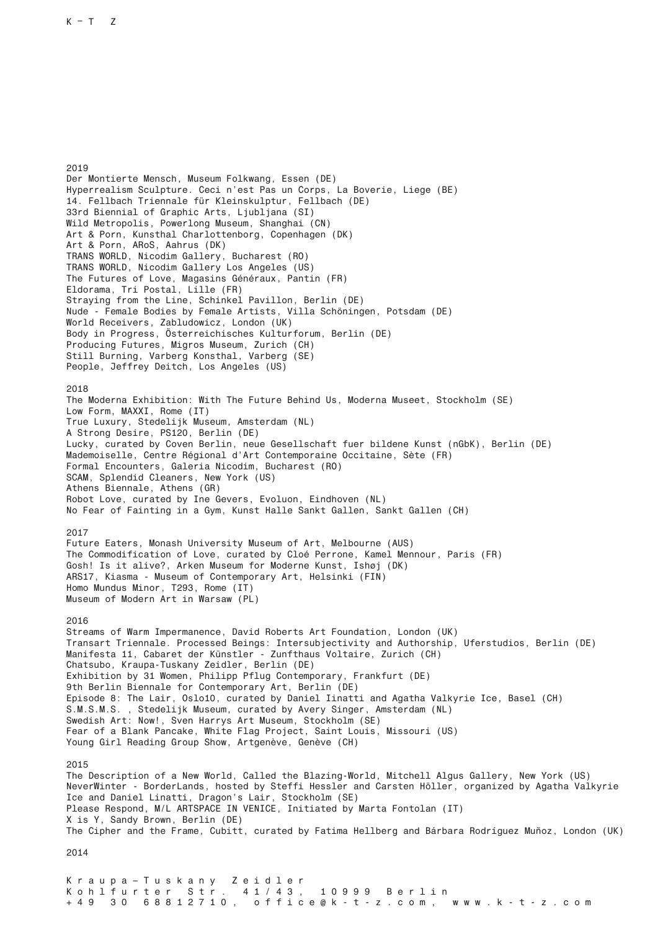K r a u p a – T u s k a n y Z e i d l e r K o h l f u r t e r S t r . 4 1 / 4 3 , 1 0 9 9 9 B e r l i n + 4 9 3 0 6 8 8 1 2 7 1 0 , o f f i c e @ k - t - z . c o m , w w w . k - t - z . c o m 2019 Der Montierte Mensch, Museum Folkwang, Essen (DE) Hyperrealism Sculpture. Ceci n'est Pas un Corps, La Boverie, Liege (BE) 14. Fellbach Triennale für Kleinskulptur, Fellbach (DE) 33rd Biennial of Graphic Arts, Ljubljana (SI) Wild Metropolis, Powerlong Museum, Shanghai (CN) Art & Porn, Kunsthal Charlottenborg, Copenhagen (DK) Art & Porn, ARoS, Aahrus (DK) TRANS WORLD, Nicodim Gallery, Bucharest (RO) TRANS WORLD, Nicodim Gallery Los Angeles (US) The Futures of Love, Magasins Généraux, Pantin (FR) Eldorama, Tri Postal, Lille (FR) Straying from the Line, Schinkel Pavillon, Berlin (DE) Nude - Female Bodies by Female Artists, Villa Schöningen, Potsdam (DE) World Receivers, Zabludowicz, London (UK) Body in Progress, Österreichisches Kulturforum, Berlin (DE) Producing Futures, Migros Museum, Zurich (CH) Still Burning, Varberg Konsthal, Varberg (SE) People, Jeffrey Deitch, Los Angeles (US) 2018 The Moderna Exhibition: With The Future Behind Us, Moderna Museet, Stockholm (SE) Low Form, MAXXI, Rome (IT) True Luxury, Stedelijk Museum, Amsterdam (NL) A Strong Desire, PS120, Berlin (DE) Lucky, curated by Coven Berlin, neue Gesellschaft fuer bildene Kunst (nGbK), Berlin (DE) Mademoiselle, Centre Régional d'Art Contemporaine Occitaine, Sète (FR) Formal Encounters, Galeria Nicodim, Bucharest (RO) SCAM, Splendid Cleaners, New York (US) Athens Biennale, Athens (GR) Robot Love, curated by Ine Gevers, Evoluon, Eindhoven (NL) No Fear of Fainting in a Gym, Kunst Halle Sankt Gallen, Sankt Gallen (CH) 2017 Future Eaters, Monash University Museum of Art, Melbourne (AUS) The Commodification of Love, curated by Cloé Perrone, Kamel Mennour, Paris (FR) Gosh! Is it alive?, Arken Museum for Moderne Kunst, Ishøj (DK) ARS17, Kiasma - Museum of Contemporary Art, Helsinki (FIN) Homo Mundus Minor, T293, Rome (IT) Museum of Modern Art in Warsaw (PL) 2016 Streams of Warm Impermanence, David Roberts Art Foundation, London (UK) Transart Triennale. Processed Beings: Intersubjectivity and Authorship, Uferstudios, Berlin (DE) Manifesta 11, Cabaret der Künstler - Zunfthaus Voltaire, Zurich (CH) Chatsubo, Kraupa-Tuskany Zeidler, Berlin (DE) Exhibition by 31 Women, Philipp Pflug Contemporary, Frankfurt (DE) 9th Berlin Biennale for Contemporary Art, Berlin (DE) Episode 8: The Lair, Oslo10, curated by Daniel Iinatti and Agatha Valkyrie Ice, Basel (CH) S.M.S.M.S. , Stedelijk Museum, curated by Avery Singer, Amsterdam (NL) Swedish Art: Now!, Sven Harrys Art Museum, Stockholm (SE) Fear of a Blank Pancake, White Flag Project, Saint Louis, Missouri (US) Young Girl Reading Group Show, Artgenève, Genève (CH) 2015 The Description of a New World, Called the Blazing-World, Mitchell Algus Gallery, New York (US) NeverWinter - BorderLands, hosted by Steffi Hessler and Carsten Höller, organized by Agatha Valkyrie Ice and Daniel Linatti, Dragon's Lair, Stockholm (SE) Please Respond, M/L ARTSPACE IN VENICE, Initiated by Marta Fontolan (IT) X is Y, Sandy Brown, Berlin (DE) The Cipher and the Frame, Cubitt, curated by Fatima Hellberg and Bárbara Rodríguez Muñoz, London (UK) 2014